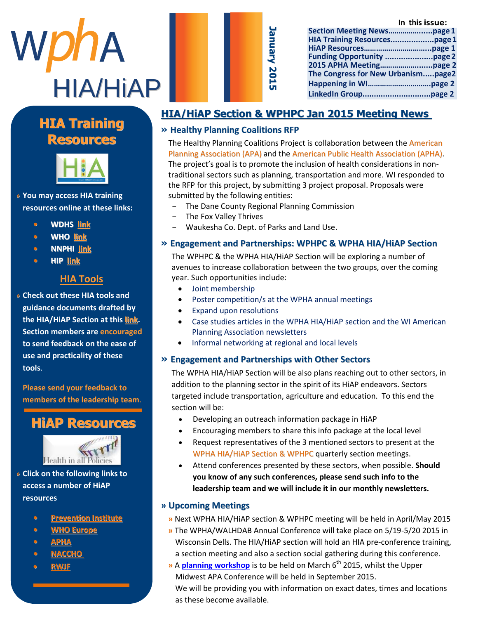

| Jan     |
|---------|
|         |
| န္ဖ     |
| 2       |
|         |
| J       |
| 0       |
| ہر<br>ה |
|         |
|         |

|                                    | In this issue: |
|------------------------------------|----------------|
|                                    |                |
|                                    |                |
|                                    |                |
|                                    |                |
|                                    |                |
| The Congress for New Urbanismpage2 |                |
|                                    |                |
|                                    |                |

#### **Manuel Highlight Highlight Company** A THURRY **Resources HIA Training**



m e m b e r o f t h e W P H A » You may access HIA training resources online at these links:

- c o m m m u n i c a t i c a t i c e registrative de la t i c e registrative de la t i c e registrative de la t<br>La t estat de la t i c e registrative de la t estat de la t estat de la t estat de la t estat de la t estat de f o r t h e s e [c t i o](http://www.dhs.wisconsin.gov/hia/webcast.htm) n M s **• WDHS link**
- J a c k s o n [w a s](http://www.who.int/hia/tools/en/)  **• WHO link**
- **• NNPHI** <u>link</u>
- **• • HIP <u>link</u>**  $\bullet$  $\bullet$  $\bullet$  $\bullet$  $\bullet$

# **S e con a s e con a s e con a ser**

» Check out these HIA tools and o p p o r t u n i t i e s b o t h i n guidance documents drafted b<mark>y</mark> the HIA/HiAP Section at this <u>link</u>. **Section members are encouraged** to send feedback on the ease of  $\mathsf{se}\nolimits$  and practicality of these  $\mathsf{e}\nolimits$ use and practicality of these<br>teels  $\mathbf{A} = \mathbf{A} \mathbf{A} \mathbf{A} + \mathbf{A} \mathbf{A} \mathbf{A}$  is the set at  $\mathbf{A} = \mathbf{A} \mathbf{A} \mathbf{A}$ **tools**.

**Please send your feedback to** P r e ven de van de van de van de van de van de van de van de van de van de van de van de van de van de van de<br>Provincie van de van de van de van de van de van de van de van de van de van de van de van de van de van de va members of the leadership team.<br>————————————————————

#### $\mathbf{h}$  to the p th and the D e p t  $\mathbf{h}$ **HiAP Resources**



» Click on the following links to access a number of HiAP **compare** R e g i o n a l P l a n n i n g . W e **resources**

- **•** Prevention Institute
- **• WHO Europe**
- a n d w i s h h e r t h e b e s t o f **• [APHA](http://apha.org/topics-and-issues/healthy-communities/health-in-all-policies)**
- l u c k i n h e r f u t u r e **• [NACCHO](http://www.naccho.org/advocacy/positions/upload/12-01-health-in-all-policies.pdf)** c a r e r e r e a v o d e a v o d e a v o d e a v o d e a v o d e a v o d e a v o d e a v o d e a v o d e a v<br>G o d e a v o d e a v o d e a v o d e a v o d e a v o d e a v o d e a v o d e a v o d e a v o d e a v o d e a
- l u c <mark>rwjf</mark> a d s c h o o l

 $\overline{\phantom{a}}$ 

# **HIA/HiAP Section & WPHPC Jan 2015 Meeting News**

#### **» Healthy Planning Coalitions RFP**

The Healthy Planning Coalitions Project is collaboration between the American Planning Association (APA) and the American Public Health Association (APHA). The project's goal is to promote the inclusion of health considerations in nontraditional sectors such as planning, transportation and more. WI responded to the RFP for this project, by submitting 3 project proposal. Proposals were submitted by the following entities:

- The Dane County Regional Planning Commission
- The Fox Valley Thrives
- Waukesha Co. Dept. of Parks and Land Use.

#### **» Engagement and Partnerships: WPHPC & WPHA HIA/HiAP Section**

The WPHPC & the WPHA HIA/HiAP Section will be exploring a number of avenues to increase collaboration between the two groups, over the coming year. Such opportunities include:

- Joint membership
- Poster competition/s at the WPHA annual meetings
- Expand upon resolutions
- Case studies articles in the WPHA HIA/HiAP section and the WI American Planning Association newsletters
- Informal networking at regional and local levels

#### **» Engagement and Partnerships with Other Sectors**

The WPHA HIA/HiAP Section will be also plans reaching out to other sectors, in addition to the planning sector in the spirit of its HiAP endeavors. Sectors targeted include transportation, agriculture and education. To this end the section will be:

- Developing an outreach information package in HiAP
- Encouraging members to share this info package at the local level
- Request representatives of the 3 mentioned sectors to present at the WPHA HIA/HiAP Section & WPHPC quarterly section meetings.
- Attend conferences presented by these sectors, when possible. **Should you know of any such conferences, please send such info to the leadership team and we will include it in our monthly newsletters.**

#### **» Upcoming Meetings**

- **»** Next WPHA HIA/HiAP section & WPHPC meeting will be held in April/May 2015
- **»** The WPHA/WALHDAB Annual Conference will take place on 5/19-5/20 2015 in Wisconsin Dells. The HIA/HiAP section will hold an HIA pre-conference training, a section meeting and also a section social gathering during this conference.
- **»** A **[planning workshop](http://www.wisconsinplanners.org/attachments/APA-WI%202015%20Workshop%20STD.pdf)** is to be held on March 6 th 2015, whilst the Upper Midwest APA Conference will be held in September 2015. We will be providing you with information on exact dates, times and locations as these become available.